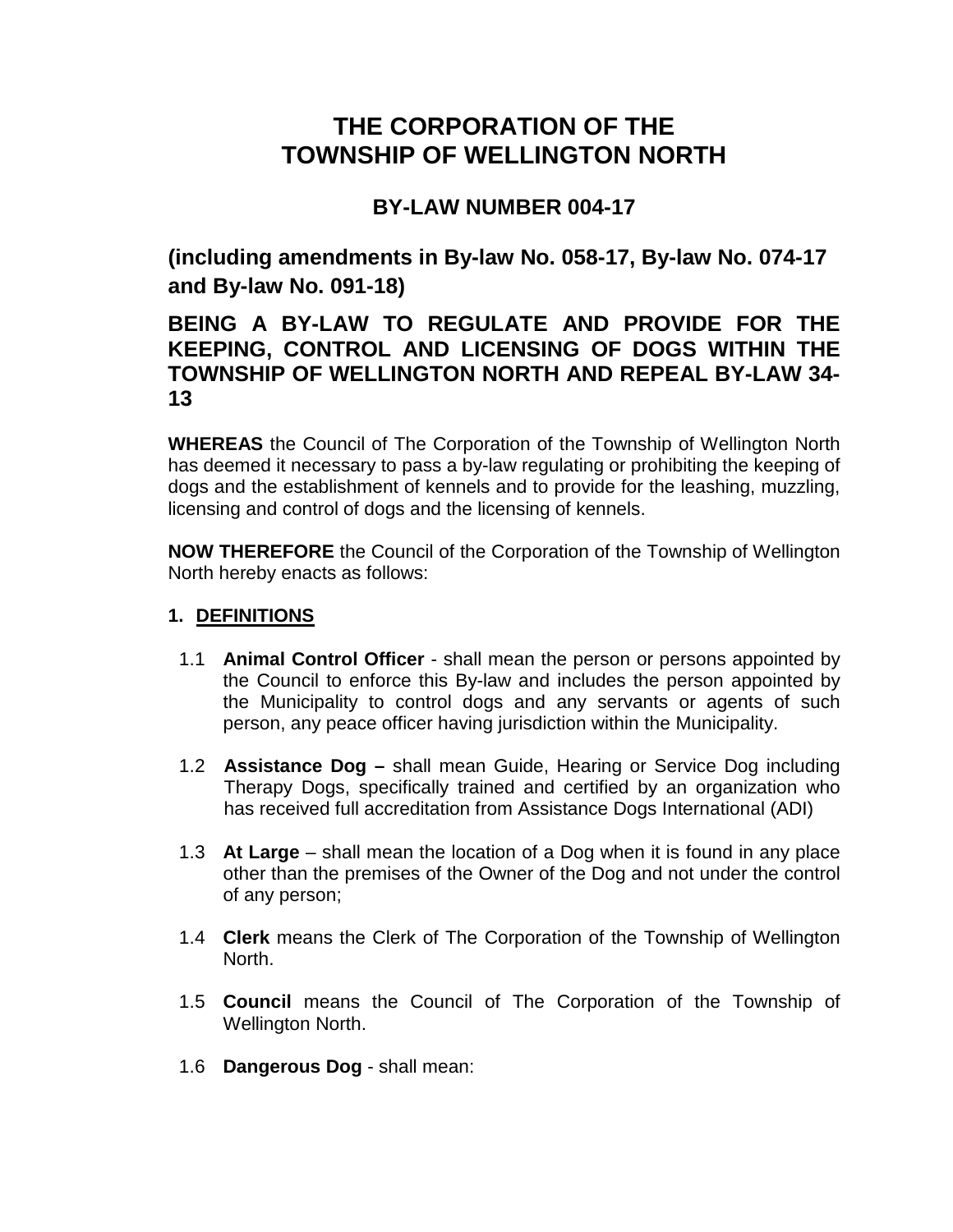# **THE CORPORATION OF THE TOWNSHIP OF WELLINGTON NORTH**

## **BY-LAW NUMBER 004-17**

**(including amendments in By-law No. 058-17, By-law No. 074-17 and By-law No. 091-18)**

## **BEING A BY-LAW TO REGULATE AND PROVIDE FOR THE KEEPING, CONTROL AND LICENSING OF DOGS WITHIN THE TOWNSHIP OF WELLINGTON NORTH AND REPEAL BY-LAW 34- 13**

**WHEREAS** the Council of The Corporation of the Township of Wellington North has deemed it necessary to pass a by-law regulating or prohibiting the keeping of dogs and the establishment of kennels and to provide for the leashing, muzzling, licensing and control of dogs and the licensing of kennels.

**NOW THEREFORE** the Council of the Corporation of the Township of Wellington North hereby enacts as follows:

### **1. DEFINITIONS**

- 1.1 **Animal Control Officer**  shall mean the person or persons appointed by the Council to enforce this By-law and includes the person appointed by the Municipality to control dogs and any servants or agents of such person, any peace officer having jurisdiction within the Municipality.
- 1.2 **Assistance Dog –** shall mean Guide, Hearing or Service Dog including Therapy Dogs, specifically trained and certified by an organization who has received full accreditation from Assistance Dogs International (ADI)
- 1.3 **At Large**  shall mean the location of a Dog when it is found in any place other than the premises of the Owner of the Dog and not under the control of any person;
- 1.4 **Clerk** means the Clerk of The Corporation of the Township of Wellington North.
- 1.5 **Council** means the Council of The Corporation of the Township of Wellington North.
- 1.6 **Dangerous Dog**  shall mean: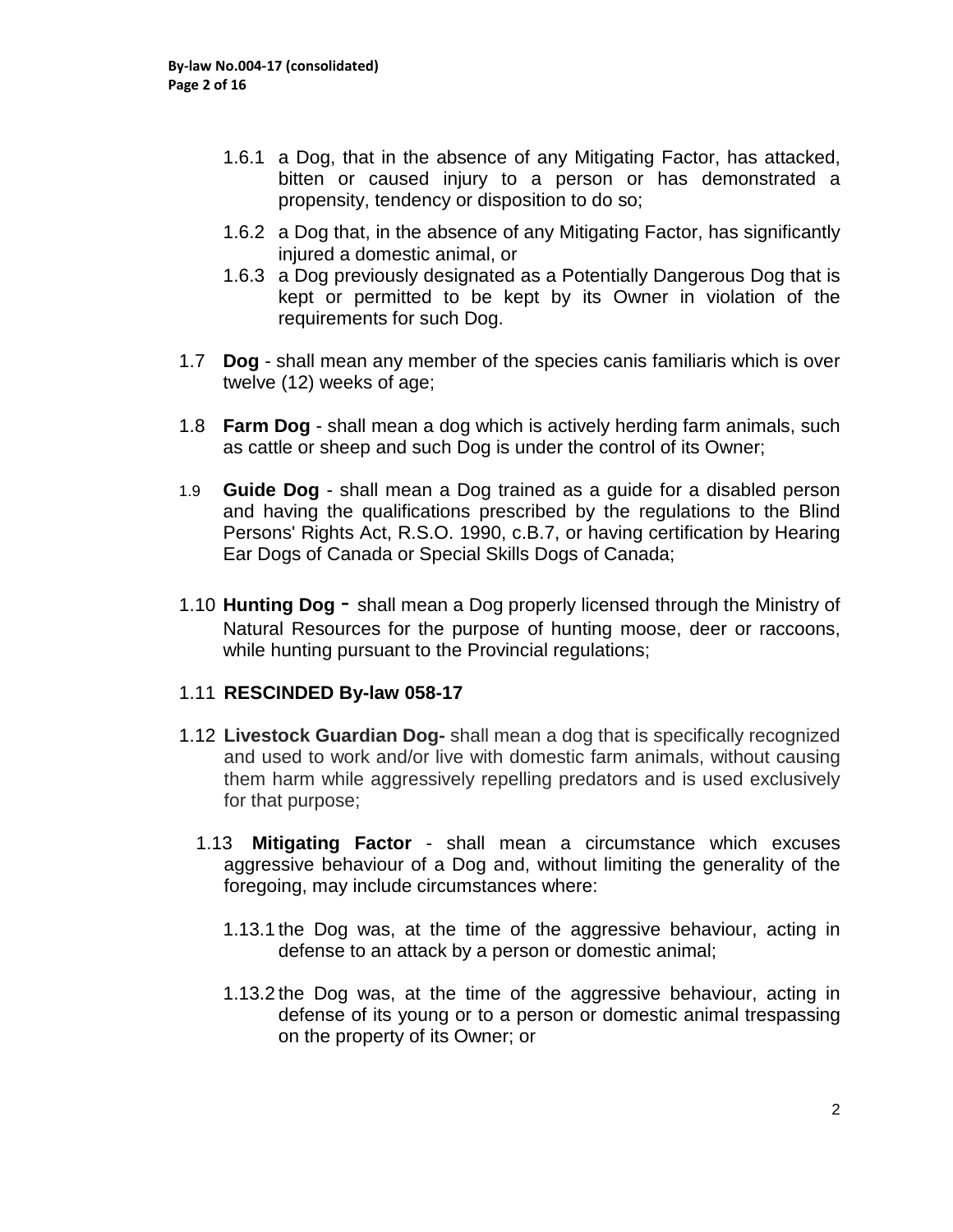- 1.6.1 a Dog, that in the absence of any Mitigating Factor, has attacked, bitten or caused injury to a person or has demonstrated a propensity, tendency or disposition to do so;
- 1.6.2 a Dog that, in the absence of any Mitigating Factor, has significantly injured a domestic animal, or
- 1.6.3 a Dog previously designated as a Potentially Dangerous Dog that is kept or permitted to be kept by its Owner in violation of the requirements for such Dog.
- 1.7 **Dog** shall mean any member of the species canis familiaris which is over twelve (12) weeks of age;
- 1.8 **Farm Dog**  shall mean a dog which is actively herding farm animals, such as cattle or sheep and such Dog is under the control of its Owner;
- 1.9 **Guide Dog**  shall mean a Dog trained as a guide for a disabled person and having the qualifications prescribed by the regulations to the Blind Persons' Rights Act, R.S.O. 1990, c.B.7, or having certification by Hearing Ear Dogs of Canada or Special Skills Dogs of Canada;
- 1.10 **Hunting Dog**  shall mean a Dog properly licensed through the Ministry of Natural Resources for the purpose of hunting moose, deer or raccoons, while hunting pursuant to the Provincial regulations;

#### 1.11 **RESCINDED By-law 058-17**

- 1.12 **Livestock Guardian Dog-** shall mean a dog that is specifically recognized and used to work and/or live with domestic farm animals, without causing them harm while aggressively repelling predators and is used exclusively for that purpose;
	- 1.13 **Mitigating Factor** shall mean a circumstance which excuses aggressive behaviour of a Dog and, without limiting the generality of the foregoing, may include circumstances where:
		- 1.13.1 the Dog was, at the time of the aggressive behaviour, acting in defense to an attack by a person or domestic animal;
		- 1.13.2 the Dog was, at the time of the aggressive behaviour, acting in defense of its young or to a person or domestic animal trespassing on the property of its Owner; or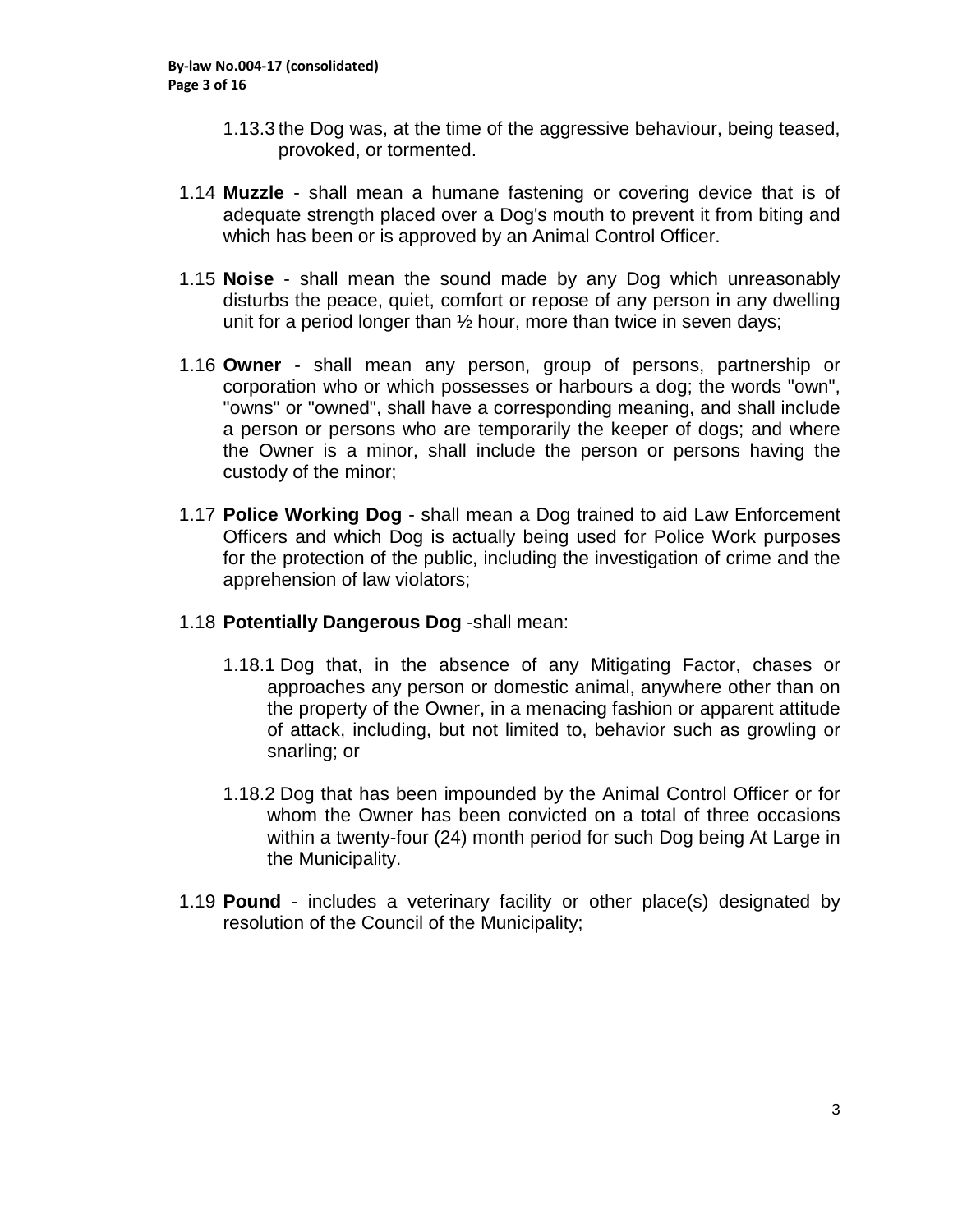- 1.13.3 the Dog was, at the time of the aggressive behaviour, being teased, provoked, or tormented.
- 1.14 **Muzzle** shall mean a humane fastening or covering device that is of adequate strength placed over a Dog's mouth to prevent it from biting and which has been or is approved by an Animal Control Officer.
- 1.15 **Noise**  shall mean the sound made by any Dog which unreasonably disturbs the peace, quiet, comfort or repose of any person in any dwelling unit for a period longer than ½ hour, more than twice in seven days;
- 1.16 **Owner** shall mean any person, group of persons, partnership or corporation who or which possesses or harbours a dog; the words "own", "owns" or "owned", shall have a corresponding meaning, and shall include a person or persons who are temporarily the keeper of dogs; and where the Owner is a minor, shall include the person or persons having the custody of the minor;
- 1.17 **Police Working Dog** shall mean a Dog trained to aid Law Enforcement Officers and which Dog is actually being used for Police Work purposes for the protection of the public, including the investigation of crime and the apprehension of law violators;
- 1.18 **Potentially Dangerous Dog** -shall mean:
	- 1.18.1 Dog that, in the absence of any Mitigating Factor, chases or approaches any person or domestic animal, anywhere other than on the property of the Owner, in a menacing fashion or apparent attitude of attack, including, but not limited to, behavior such as growling or snarling; or
	- 1.18.2 Dog that has been impounded by the Animal Control Officer or for whom the Owner has been convicted on a total of three occasions within a twenty-four (24) month period for such Dog being At Large in the Municipality.
- 1.19 **Pound** includes a veterinary facility or other place(s) designated by resolution of the Council of the Municipality;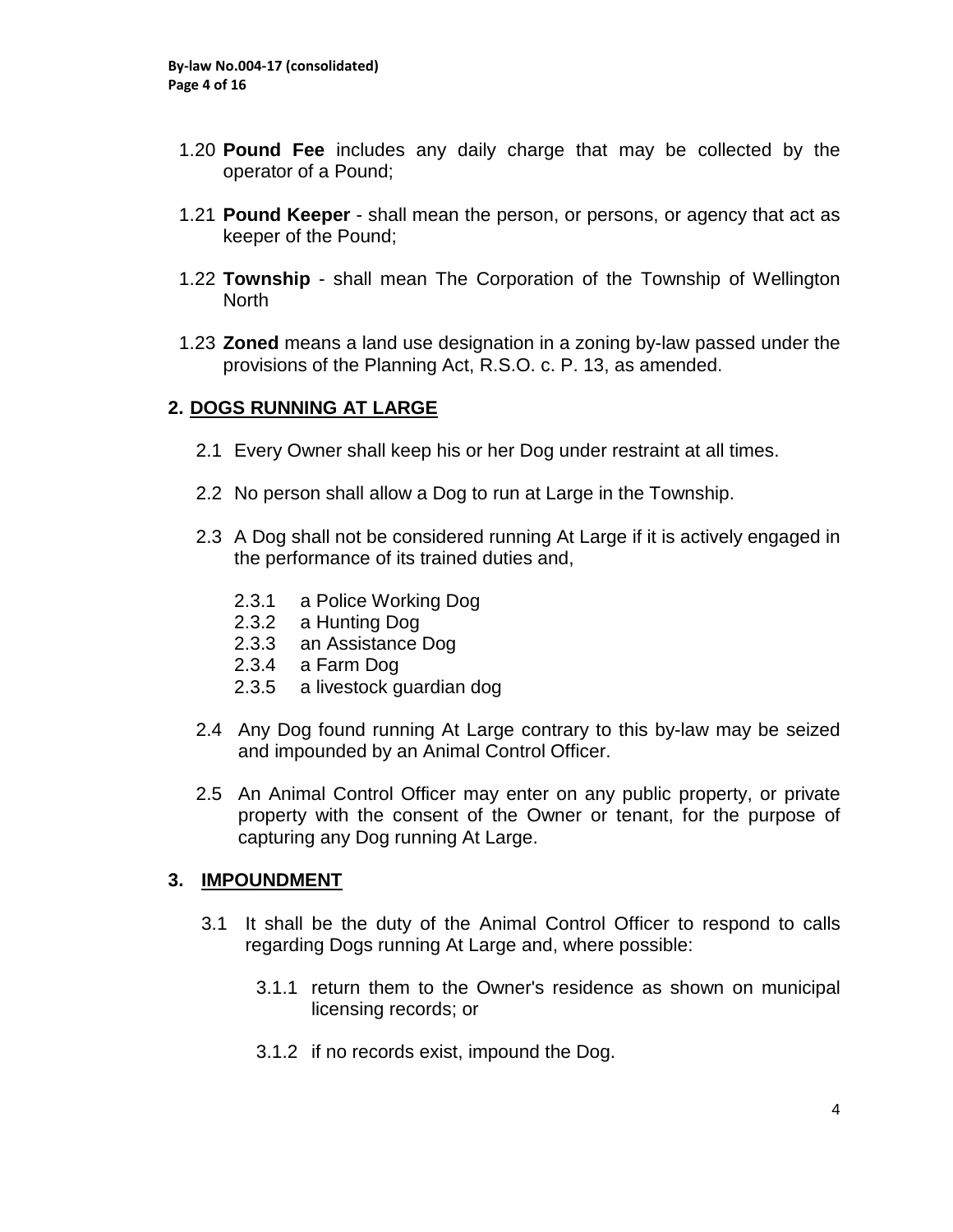- 1.20 **Pound Fee** includes any daily charge that may be collected by the operator of a Pound;
- 1.21 **Pound Keeper** shall mean the person, or persons, or agency that act as keeper of the Pound;
- 1.22 **Township** shall mean The Corporation of the Township of Wellington **North**
- 1.23 **Zoned** means a land use designation in a zoning by-law passed under the provisions of the Planning Act, R.S.O. c. P. 13, as amended.

### **2. DOGS RUNNING AT LARGE**

- 2.1 Every Owner shall keep his or her Dog under restraint at all times.
- 2.2 No person shall allow a Dog to run at Large in the Township.
- 2.3 A Dog shall not be considered running At Large if it is actively engaged in the performance of its trained duties and,
	- 2.3.1 a Police Working Dog
	- 2.3.2 a Hunting Dog
	- 2.3.3 an Assistance Dog
	- 2.3.4 a Farm Dog
	- 2.3.5 a livestock guardian dog
- 2.4 Any Dog found running At Large contrary to this by-law may be seized and impounded by an Animal Control Officer.
- 2.5 An Animal Control Officer may enter on any public property, or private property with the consent of the Owner or tenant, for the purpose of capturing any Dog running At Large.

#### **3. IMPOUNDMENT**

- 3.1 It shall be the duty of the Animal Control Officer to respond to calls regarding Dogs running At Large and, where possible:
	- 3.1.1 return them to the Owner's residence as shown on municipal licensing records; or
	- 3.1.2 if no records exist, impound the Dog.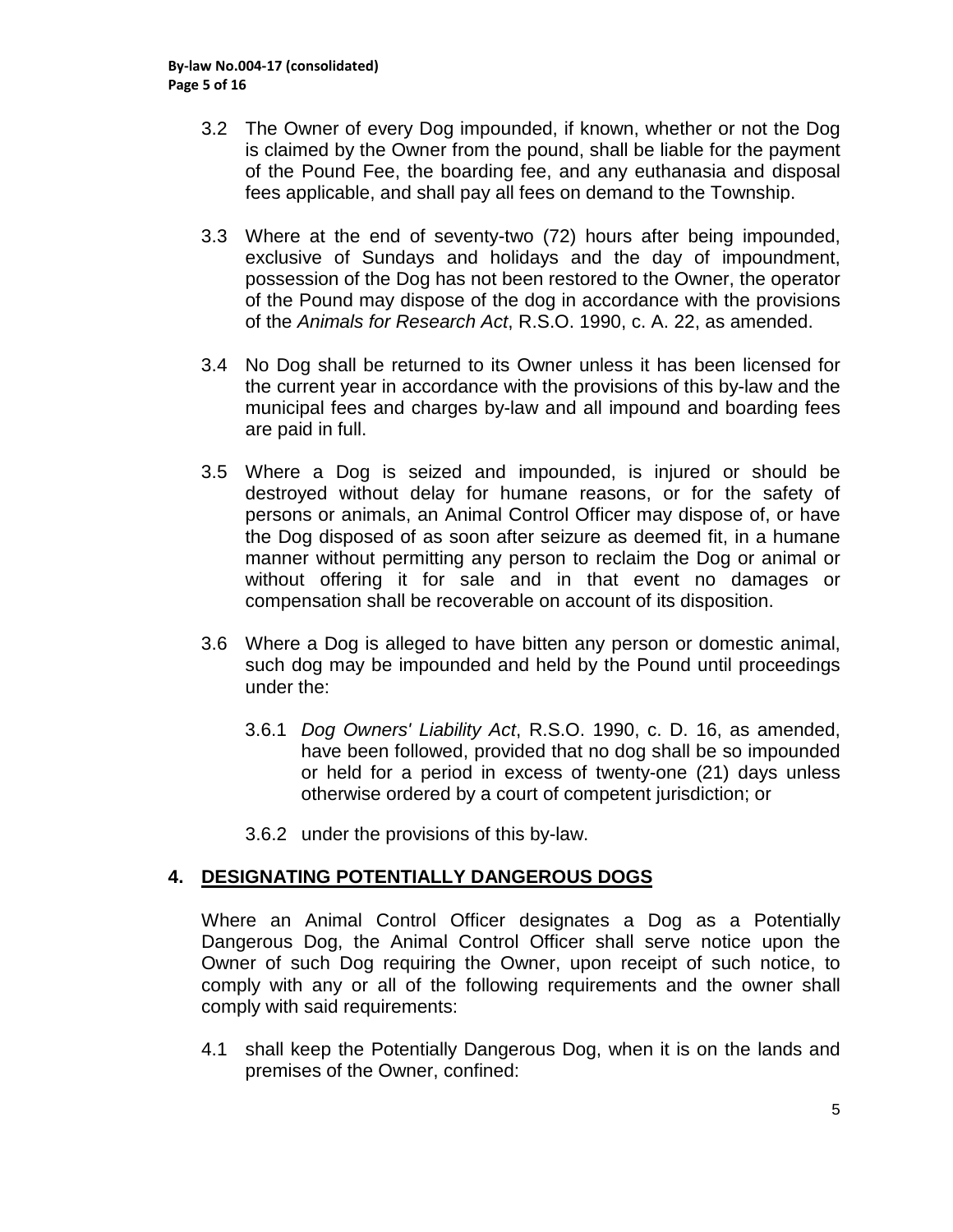- 3.2 The Owner of every Dog impounded, if known, whether or not the Dog is claimed by the Owner from the pound, shall be liable for the payment of the Pound Fee, the boarding fee, and any euthanasia and disposal fees applicable, and shall pay all fees on demand to the Township.
- 3.3 Where at the end of seventy-two (72) hours after being impounded, exclusive of Sundays and holidays and the day of impoundment, possession of the Dog has not been restored to the Owner, the operator of the Pound may dispose of the dog in accordance with the provisions of the *Animals for Research Act*, R.S.O. 1990, c. A. 22, as amended.
- 3.4 No Dog shall be returned to its Owner unless it has been licensed for the current year in accordance with the provisions of this by-law and the municipal fees and charges by-law and all impound and boarding fees are paid in full.
- 3.5 Where a Dog is seized and impounded, is injured or should be destroyed without delay for humane reasons, or for the safety of persons or animals, an Animal Control Officer may dispose of, or have the Dog disposed of as soon after seizure as deemed fit, in a humane manner without permitting any person to reclaim the Dog or animal or without offering it for sale and in that event no damages or compensation shall be recoverable on account of its disposition.
- 3.6 Where a Dog is alleged to have bitten any person or domestic animal, such dog may be impounded and held by the Pound until proceedings under the:
	- 3.6.1 *Dog Owners' Liability Act*, R.S.O. 1990, c. D. 16, as amended, have been followed, provided that no dog shall be so impounded or held for a period in excess of twenty-one (21) days unless otherwise ordered by a court of competent jurisdiction; or
	- 3.6.2 under the provisions of this by-law.

#### **4. DESIGNATING POTENTIALLY DANGEROUS DOGS**

Where an Animal Control Officer designates a Dog as a Potentially Dangerous Dog, the Animal Control Officer shall serve notice upon the Owner of such Dog requiring the Owner, upon receipt of such notice, to comply with any or all of the following requirements and the owner shall comply with said requirements:

4.1 shall keep the Potentially Dangerous Dog, when it is on the lands and premises of the Owner, confined: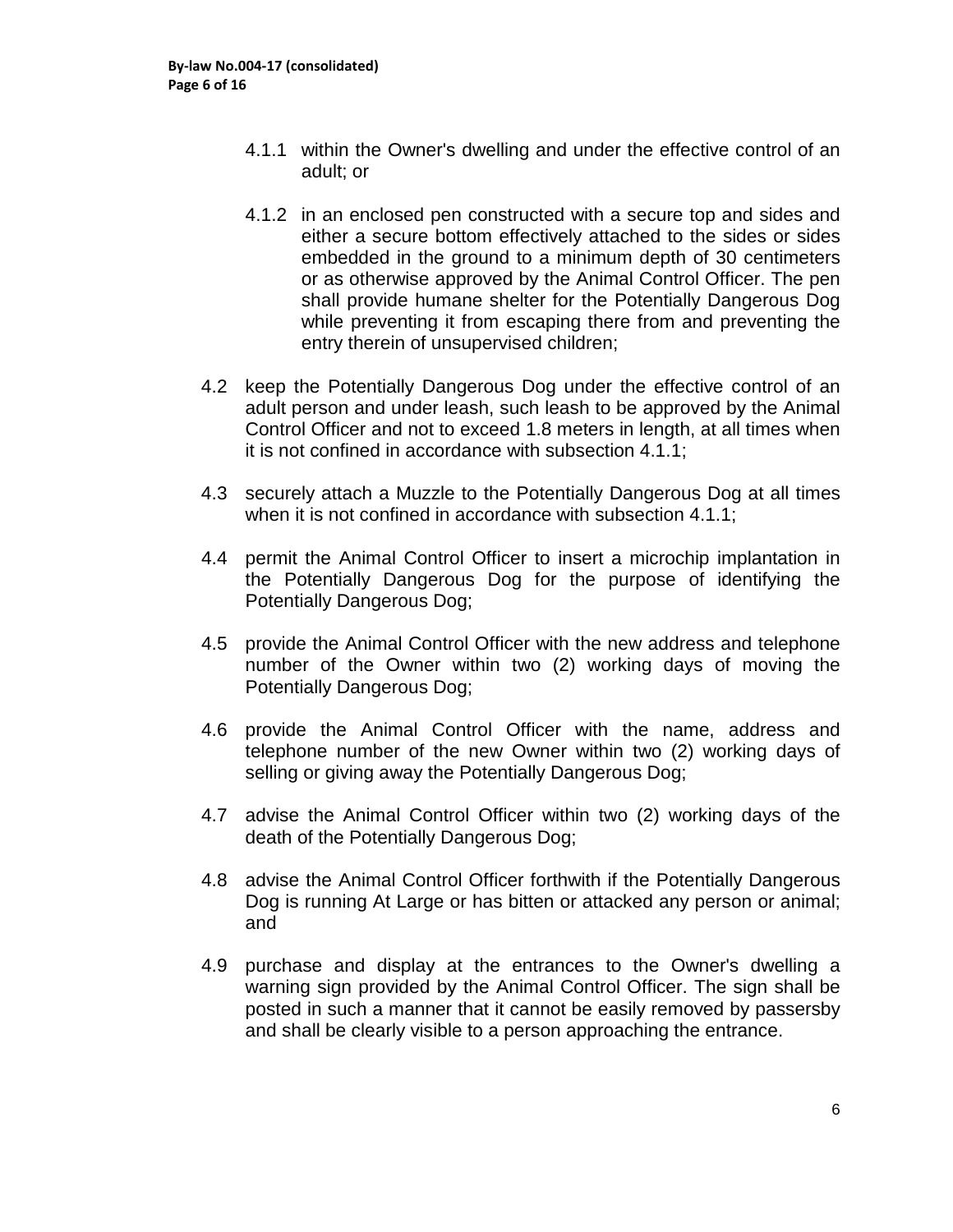- 4.1.1 within the Owner's dwelling and under the effective control of an adult; or
- 4.1.2 in an enclosed pen constructed with a secure top and sides and either a secure bottom effectively attached to the sides or sides embedded in the ground to a minimum depth of 30 centimeters or as otherwise approved by the Animal Control Officer. The pen shall provide humane shelter for the Potentially Dangerous Dog while preventing it from escaping there from and preventing the entry therein of unsupervised children;
- 4.2 keep the Potentially Dangerous Dog under the effective control of an adult person and under leash, such leash to be approved by the Animal Control Officer and not to exceed 1.8 meters in length, at all times when it is not confined in accordance with subsection 4.1.1;
- 4.3 securely attach a Muzzle to the Potentially Dangerous Dog at all times when it is not confined in accordance with subsection 4.1.1;
- 4.4 permit the Animal Control Officer to insert a microchip implantation in the Potentially Dangerous Dog for the purpose of identifying the Potentially Dangerous Dog;
- 4.5 provide the Animal Control Officer with the new address and telephone number of the Owner within two (2) working days of moving the Potentially Dangerous Dog;
- 4.6 provide the Animal Control Officer with the name, address and telephone number of the new Owner within two (2) working days of selling or giving away the Potentially Dangerous Dog;
- 4.7 advise the Animal Control Officer within two (2) working days of the death of the Potentially Dangerous Dog;
- 4.8 advise the Animal Control Officer forthwith if the Potentially Dangerous Dog is running At Large or has bitten or attacked any person or animal; and
- 4.9 purchase and display at the entrances to the Owner's dwelling a warning sign provided by the Animal Control Officer. The sign shall be posted in such a manner that it cannot be easily removed by passersby and shall be clearly visible to a person approaching the entrance.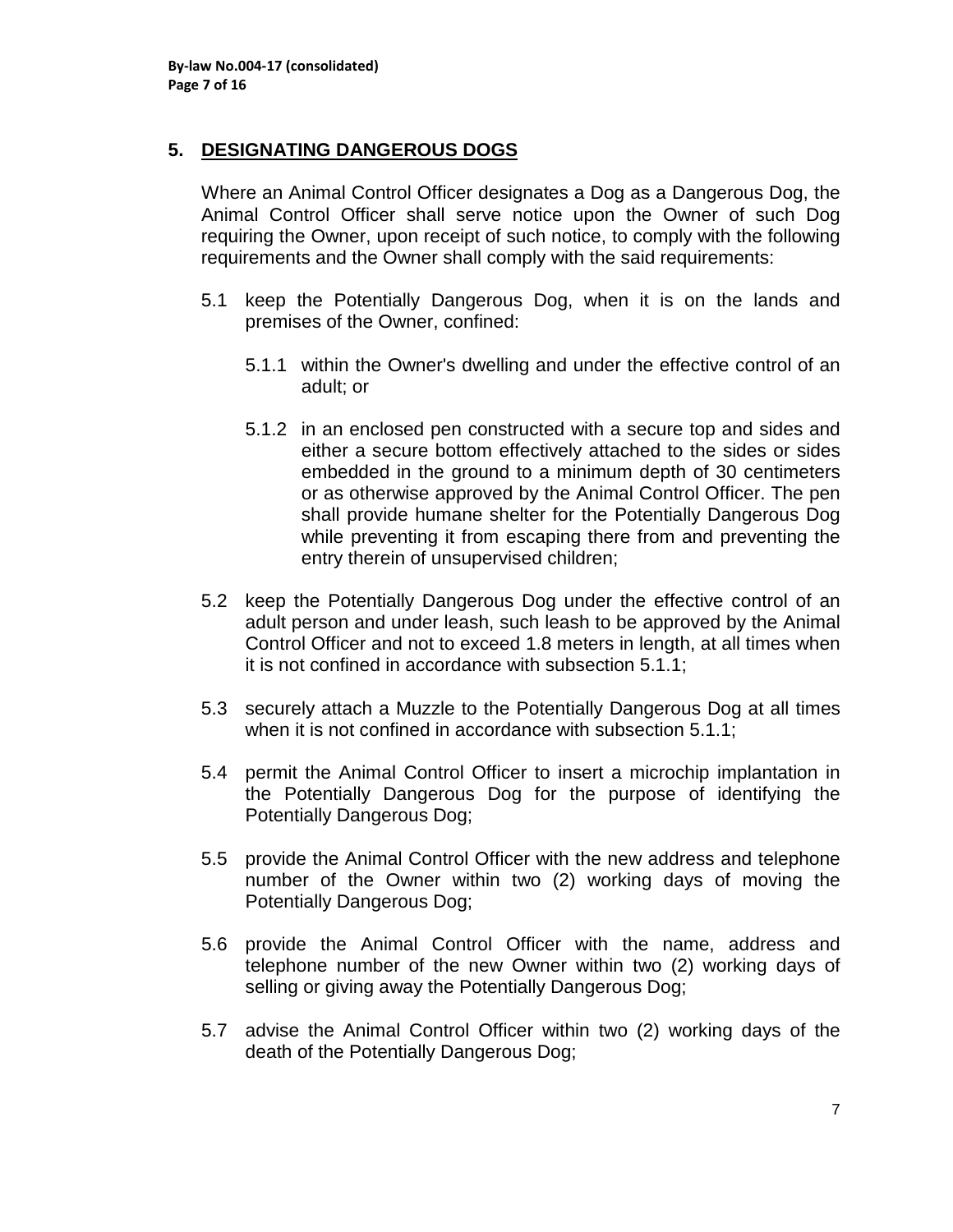### **5. DESIGNATING DANGEROUS DOGS**

Where an Animal Control Officer designates a Dog as a Dangerous Dog, the Animal Control Officer shall serve notice upon the Owner of such Dog requiring the Owner, upon receipt of such notice, to comply with the following requirements and the Owner shall comply with the said requirements:

- 5.1 keep the Potentially Dangerous Dog, when it is on the lands and premises of the Owner, confined:
	- 5.1.1 within the Owner's dwelling and under the effective control of an adult; or
	- 5.1.2 in an enclosed pen constructed with a secure top and sides and either a secure bottom effectively attached to the sides or sides embedded in the ground to a minimum depth of 30 centimeters or as otherwise approved by the Animal Control Officer. The pen shall provide humane shelter for the Potentially Dangerous Dog while preventing it from escaping there from and preventing the entry therein of unsupervised children;
- 5.2 keep the Potentially Dangerous Dog under the effective control of an adult person and under leash, such leash to be approved by the Animal Control Officer and not to exceed 1.8 meters in length, at all times when it is not confined in accordance with subsection 5.1.1;
- 5.3 securely attach a Muzzle to the Potentially Dangerous Dog at all times when it is not confined in accordance with subsection 5.1.1;
- 5.4 permit the Animal Control Officer to insert a microchip implantation in the Potentially Dangerous Dog for the purpose of identifying the Potentially Dangerous Dog;
- 5.5 provide the Animal Control Officer with the new address and telephone number of the Owner within two (2) working days of moving the Potentially Dangerous Dog;
- 5.6 provide the Animal Control Officer with the name, address and telephone number of the new Owner within two (2) working days of selling or giving away the Potentially Dangerous Dog;
- 5.7 advise the Animal Control Officer within two (2) working days of the death of the Potentially Dangerous Dog;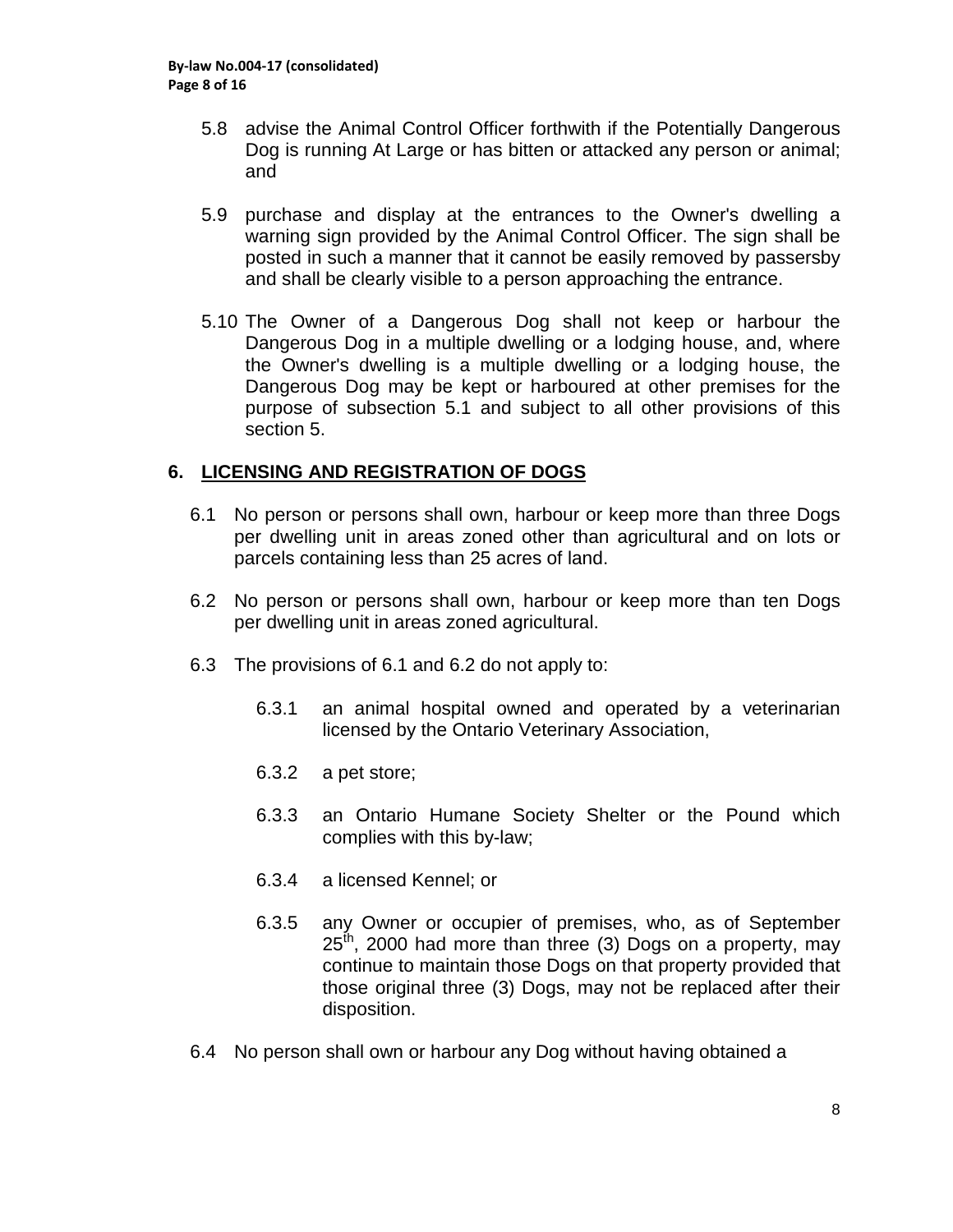- 5.8 advise the Animal Control Officer forthwith if the Potentially Dangerous Dog is running At Large or has bitten or attacked any person or animal; and
- 5.9 purchase and display at the entrances to the Owner's dwelling a warning sign provided by the Animal Control Officer. The sign shall be posted in such a manner that it cannot be easily removed by passersby and shall be clearly visible to a person approaching the entrance.
- 5.10 The Owner of a Dangerous Dog shall not keep or harbour the Dangerous Dog in a multiple dwelling or a lodging house, and, where the Owner's dwelling is a multiple dwelling or a lodging house, the Dangerous Dog may be kept or harboured at other premises for the purpose of subsection 5.1 and subject to all other provisions of this section 5.

### **6. LICENSING AND REGISTRATION OF DOGS**

- 6.1 No person or persons shall own, harbour or keep more than three Dogs per dwelling unit in areas zoned other than agricultural and on lots or parcels containing less than 25 acres of land.
- 6.2 No person or persons shall own, harbour or keep more than ten Dogs per dwelling unit in areas zoned agricultural.
- 6.3 The provisions of 6.1 and 6.2 do not apply to:
	- 6.3.1 an animal hospital owned and operated by a veterinarian licensed by the Ontario Veterinary Association,
	- 6.3.2 a pet store;
	- 6.3.3 an Ontario Humane Society Shelter or the Pound which complies with this by-law;
	- 6.3.4 a licensed Kennel; or
	- 6.3.5 any Owner or occupier of premises, who, as of September  $25<sup>th</sup>$ , 2000 had more than three (3) Dogs on a property, may continue to maintain those Dogs on that property provided that those original three (3) Dogs, may not be replaced after their disposition.
- 6.4 No person shall own or harbour any Dog without having obtained a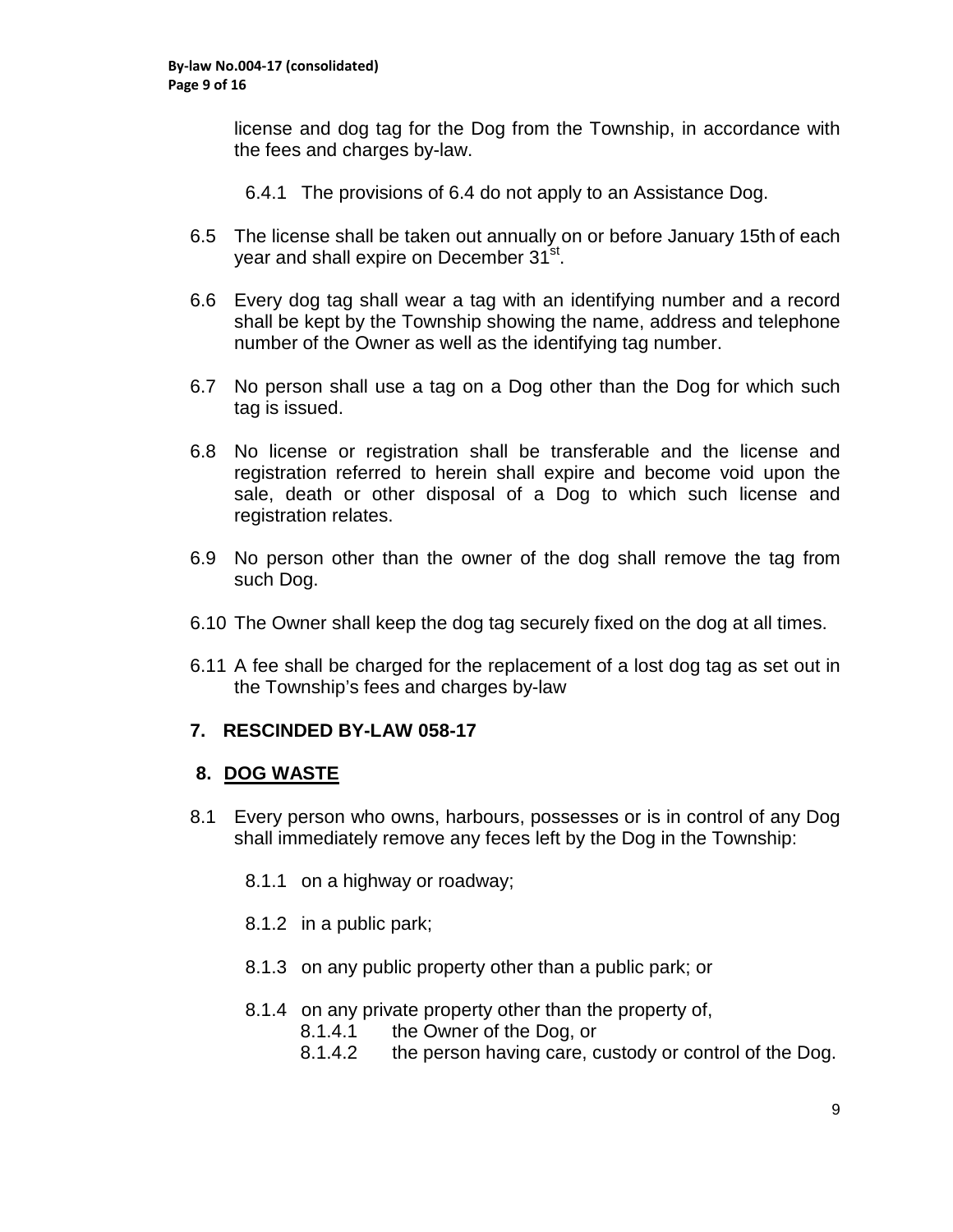license and dog tag for the Dog from the Township, in accordance with the fees and charges by-law.

- 6.4.1 The provisions of 6.4 do not apply to an Assistance Dog.
- 6.5 The license shall be taken out annually on or before January 15th of each year and shall expire on December 31<sup>st</sup>.
- 6.6 Every dog tag shall wear a tag with an identifying number and a record shall be kept by the Township showing the name, address and telephone number of the Owner as well as the identifying tag number.
- 6.7 No person shall use a tag on a Dog other than the Dog for which such tag is issued.
- 6.8 No license or registration shall be transferable and the license and registration referred to herein shall expire and become void upon the sale, death or other disposal of a Dog to which such license and registration relates.
- 6.9 No person other than the owner of the dog shall remove the tag from such Dog.
- 6.10 The Owner shall keep the dog tag securely fixed on the dog at all times.
- 6.11 A fee shall be charged for the replacement of a lost dog tag as set out in the Township's fees and charges by-law

#### **7. RESCINDED BY-LAW 058-17**

#### **8. DOG WASTE**

- 8.1 Every person who owns, harbours, possesses or is in control of any Dog shall immediately remove any feces left by the Dog in the Township:
	- 8.1.1 on a highway or roadway;
	- 8.1.2 in a public park;
	- 8.1.3 on any public property other than a public park; or
	- 8.1.4 on any private property other than the property of,
		- 8.1.4.1 the Owner of the Dog, or
		- 8.1.4.2 the person having care, custody or control of the Dog.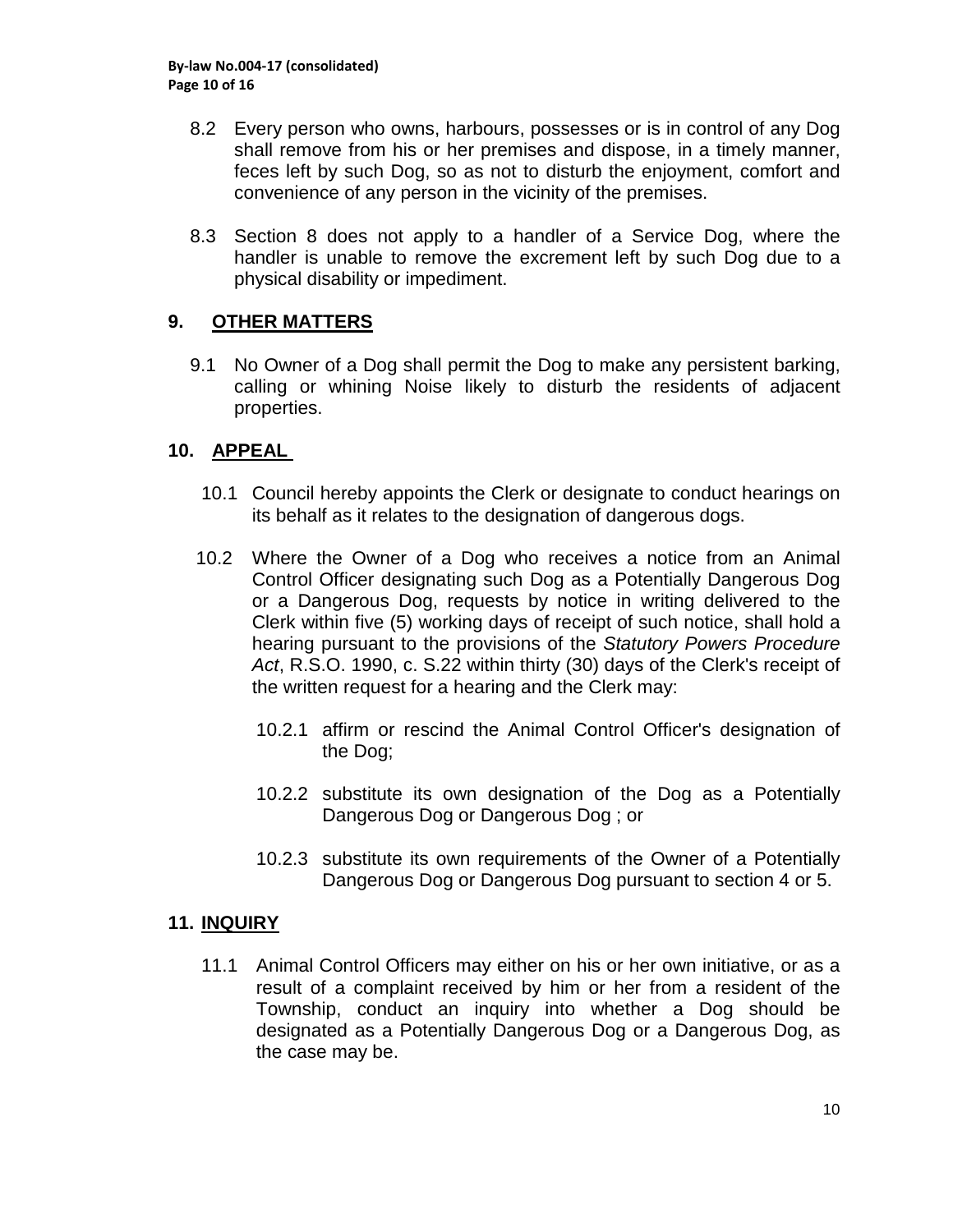- 8.2 Every person who owns, harbours, possesses or is in control of any Dog shall remove from his or her premises and dispose, in a timely manner, feces left by such Dog, so as not to disturb the enjoyment, comfort and convenience of any person in the vicinity of the premises.
- 8.3 Section 8 does not apply to a handler of a Service Dog, where the handler is unable to remove the excrement left by such Dog due to a physical disability or impediment.

### **9. OTHER MATTERS**

9.1 No Owner of a Dog shall permit the Dog to make any persistent barking, calling or whining Noise likely to disturb the residents of adjacent properties.

#### **10. APPEAL**

- 10.1 Council hereby appoints the Clerk or designate to conduct hearings on its behalf as it relates to the designation of dangerous dogs.
- 10.2 Where the Owner of a Dog who receives a notice from an Animal Control Officer designating such Dog as a Potentially Dangerous Dog or a Dangerous Dog, requests by notice in writing delivered to the Clerk within five (5) working days of receipt of such notice, shall hold a hearing pursuant to the provisions of the *Statutory Powers Procedure Act*, R.S.O. 1990, c. S.22 within thirty (30) days of the Clerk's receipt of the written request for a hearing and the Clerk may:
	- 10.2.1 affirm or rescind the Animal Control Officer's designation of the Dog;
	- 10.2.2 substitute its own designation of the Dog as a Potentially Dangerous Dog or Dangerous Dog ; or
	- 10.2.3 substitute its own requirements of the Owner of a Potentially Dangerous Dog or Dangerous Dog pursuant to section 4 or 5.

#### **11. INQUIRY**

11.1 Animal Control Officers may either on his or her own initiative, or as a result of a complaint received by him or her from a resident of the Township, conduct an inquiry into whether a Dog should be designated as a Potentially Dangerous Dog or a Dangerous Dog, as the case may be.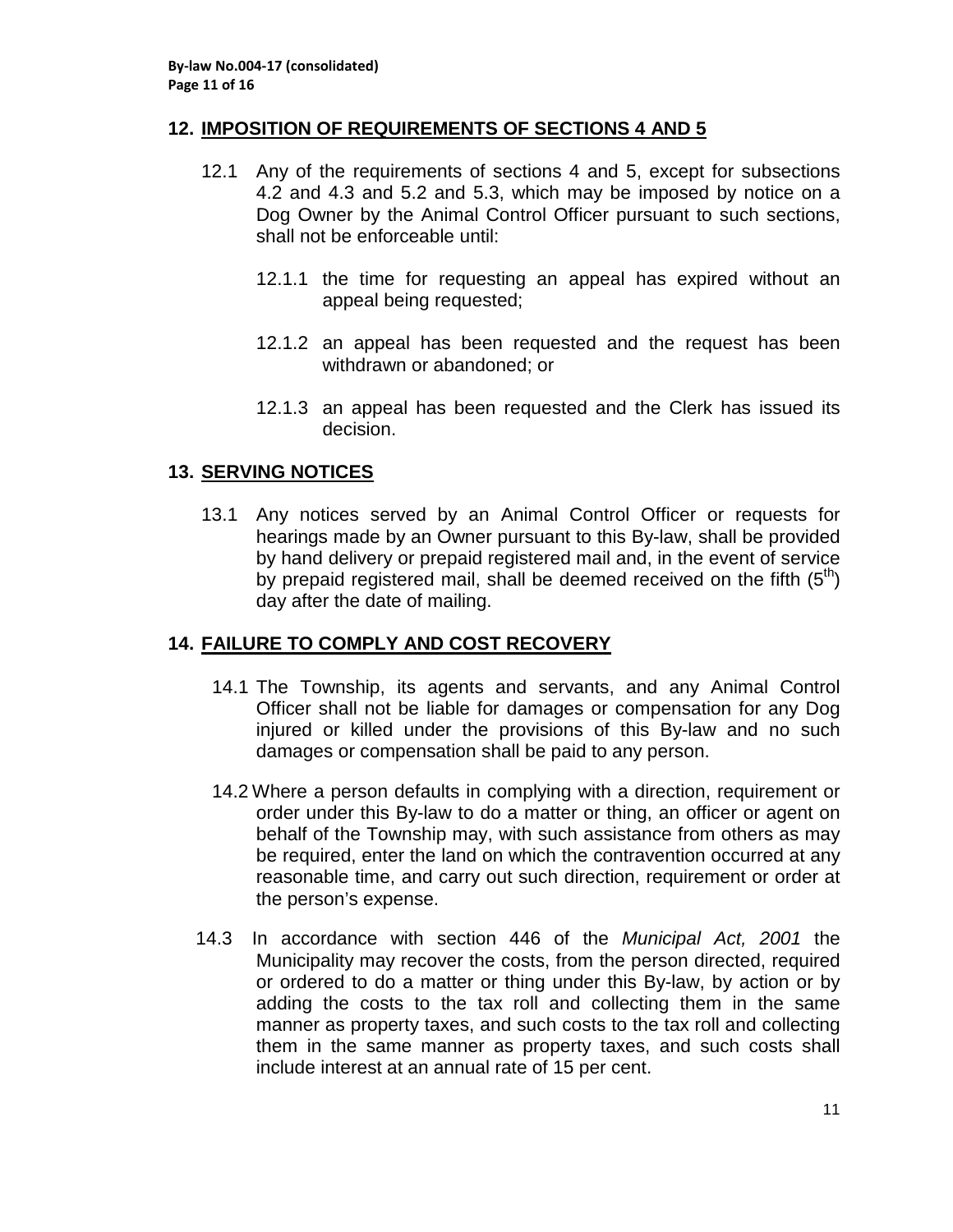#### **12. IMPOSITION OF REQUIREMENTS OF SECTIONS 4 AND 5**

- 12.1 Any of the requirements of sections 4 and 5, except for subsections 4.2 and 4.3 and 5.2 and 5.3, which may be imposed by notice on a Dog Owner by the Animal Control Officer pursuant to such sections, shall not be enforceable until:
	- 12.1.1 the time for requesting an appeal has expired without an appeal being requested;
	- 12.1.2 an appeal has been requested and the request has been withdrawn or abandoned; or
	- 12.1.3 an appeal has been requested and the Clerk has issued its decision.

#### **13. SERVING NOTICES**

13.1 Any notices served by an Animal Control Officer or requests for hearings made by an Owner pursuant to this By-law, shall be provided by hand delivery or prepaid registered mail and, in the event of service by prepaid registered mail, shall be deemed received on the fifth  $(5<sup>th</sup>)$ day after the date of mailing.

#### **14. FAILURE TO COMPLY AND COST RECOVERY**

- 14.1 The Township, its agents and servants, and any Animal Control Officer shall not be liable for damages or compensation for any Dog injured or killed under the provisions of this By-law and no such damages or compensation shall be paid to any person.
- 14.2 Where a person defaults in complying with a direction, requirement or order under this By-law to do a matter or thing, an officer or agent on behalf of the Township may, with such assistance from others as may be required, enter the land on which the contravention occurred at any reasonable time, and carry out such direction, requirement or order at the person's expense.
- 14.3 In accordance with section 446 of the *Municipal Act, 2001* the Municipality may recover the costs, from the person directed, required or ordered to do a matter or thing under this By-law, by action or by adding the costs to the tax roll and collecting them in the same manner as property taxes, and such costs to the tax roll and collecting them in the same manner as property taxes, and such costs shall include interest at an annual rate of 15 per cent.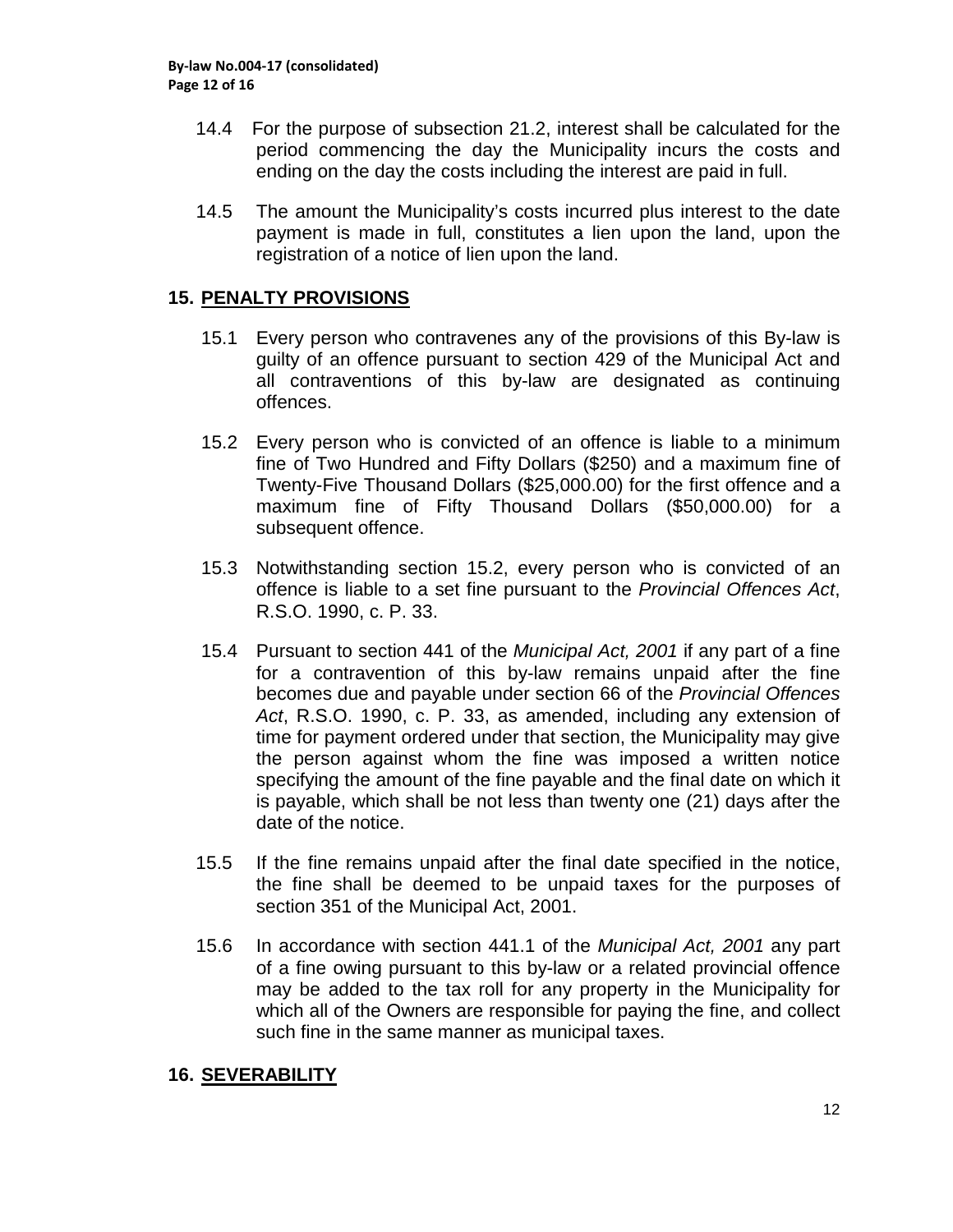- 14.4 For the purpose of subsection 21.2, interest shall be calculated for the period commencing the day the Municipality incurs the costs and ending on the day the costs including the interest are paid in full.
- 14.5 The amount the Municipality's costs incurred plus interest to the date payment is made in full, constitutes a lien upon the land, upon the registration of a notice of lien upon the land.

### **15. PENALTY PROVISIONS**

- 15.1 Every person who contravenes any of the provisions of this By-law is guilty of an offence pursuant to section 429 of the Municipal Act and all contraventions of this by-law are designated as continuing offences.
- 15.2 Every person who is convicted of an offence is liable to a minimum fine of Two Hundred and Fifty Dollars (\$250) and a maximum fine of Twenty-Five Thousand Dollars (\$25,000.00) for the first offence and a maximum fine of Fifty Thousand Dollars (\$50,000.00) for a subsequent offence.
- 15.3 Notwithstanding section 15.2, every person who is convicted of an offence is liable to a set fine pursuant to the *Provincial Offences Act*, R.S.O. 1990, c. P. 33.
- 15.4 Pursuant to section 441 of the *Municipal Act, 2001* if any part of a fine for a contravention of this by-law remains unpaid after the fine becomes due and payable under section 66 of the *Provincial Offences Act*, R.S.O. 1990, c. P. 33, as amended, including any extension of time for payment ordered under that section, the Municipality may give the person against whom the fine was imposed a written notice specifying the amount of the fine payable and the final date on which it is payable, which shall be not less than twenty one (21) days after the date of the notice.
- 15.5 If the fine remains unpaid after the final date specified in the notice, the fine shall be deemed to be unpaid taxes for the purposes of section 351 of the Municipal Act, 2001.
- 15.6 In accordance with section 441.1 of the *Municipal Act, 2001* any part of a fine owing pursuant to this by-law or a related provincial offence may be added to the tax roll for any property in the Municipality for which all of the Owners are responsible for paying the fine, and collect such fine in the same manner as municipal taxes.

#### **16. SEVERABILITY**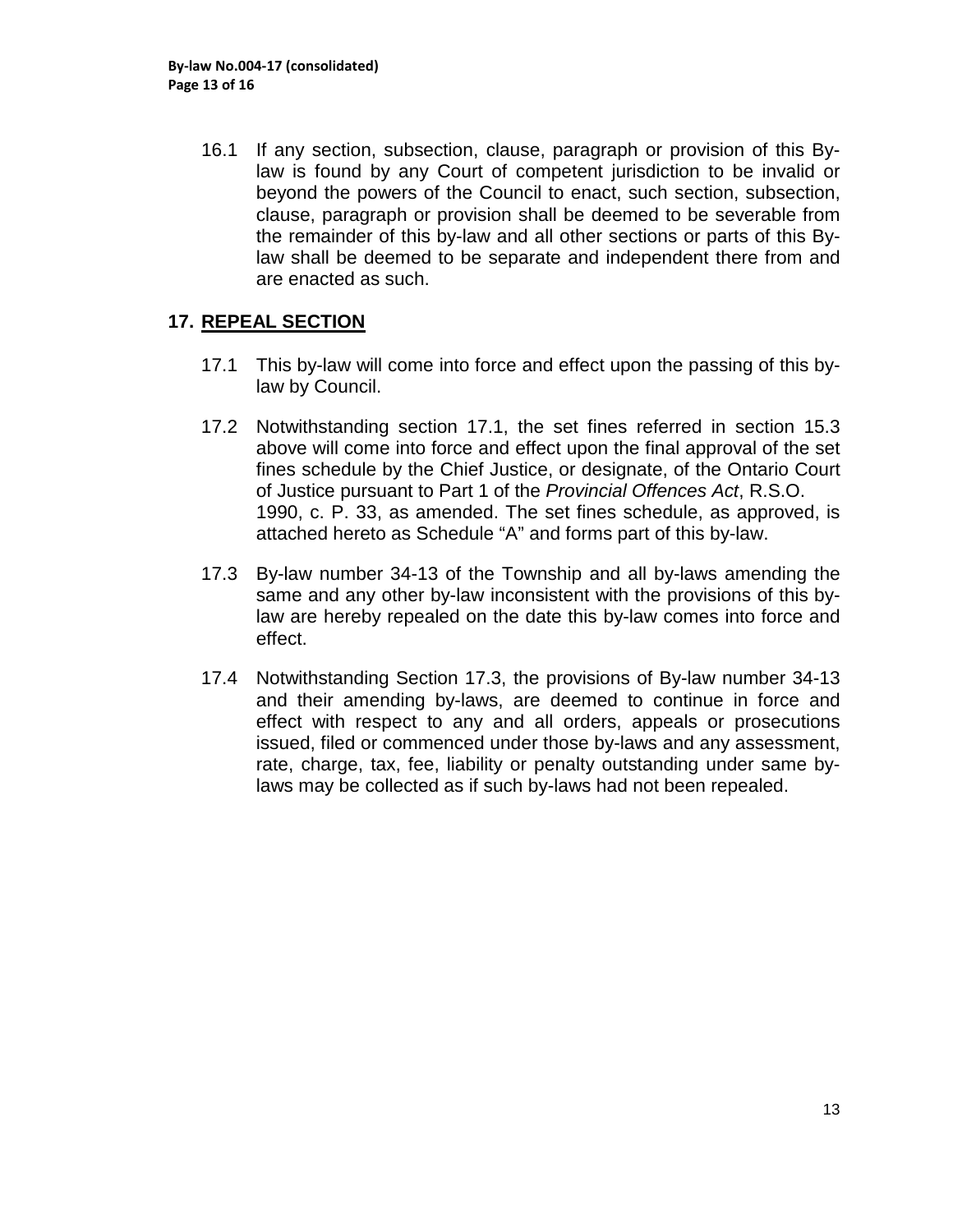16.1 If any section, subsection, clause, paragraph or provision of this Bylaw is found by any Court of competent jurisdiction to be invalid or beyond the powers of the Council to enact, such section, subsection, clause, paragraph or provision shall be deemed to be severable from the remainder of this by-law and all other sections or parts of this Bylaw shall be deemed to be separate and independent there from and are enacted as such.

### **17. REPEAL SECTION**

- 17.1 This by-law will come into force and effect upon the passing of this bylaw by Council.
- 17.2 Notwithstanding section 17.1, the set fines referred in section 15.3 above will come into force and effect upon the final approval of the set fines schedule by the Chief Justice, or designate, of the Ontario Court of Justice pursuant to Part 1 of the *Provincial Offences Act*, R.S.O. 1990, c. P. 33, as amended. The set fines schedule, as approved, is attached hereto as Schedule "A" and forms part of this by-law.
- 17.3 By-law number 34-13 of the Township and all by-laws amending the same and any other by-law inconsistent with the provisions of this bylaw are hereby repealed on the date this by-law comes into force and effect.
- 17.4 Notwithstanding Section 17.3, the provisions of By-law number 34-13 and their amending by-laws, are deemed to continue in force and effect with respect to any and all orders, appeals or prosecutions issued, filed or commenced under those by-laws and any assessment, rate, charge, tax, fee, liability or penalty outstanding under same bylaws may be collected as if such by-laws had not been repealed.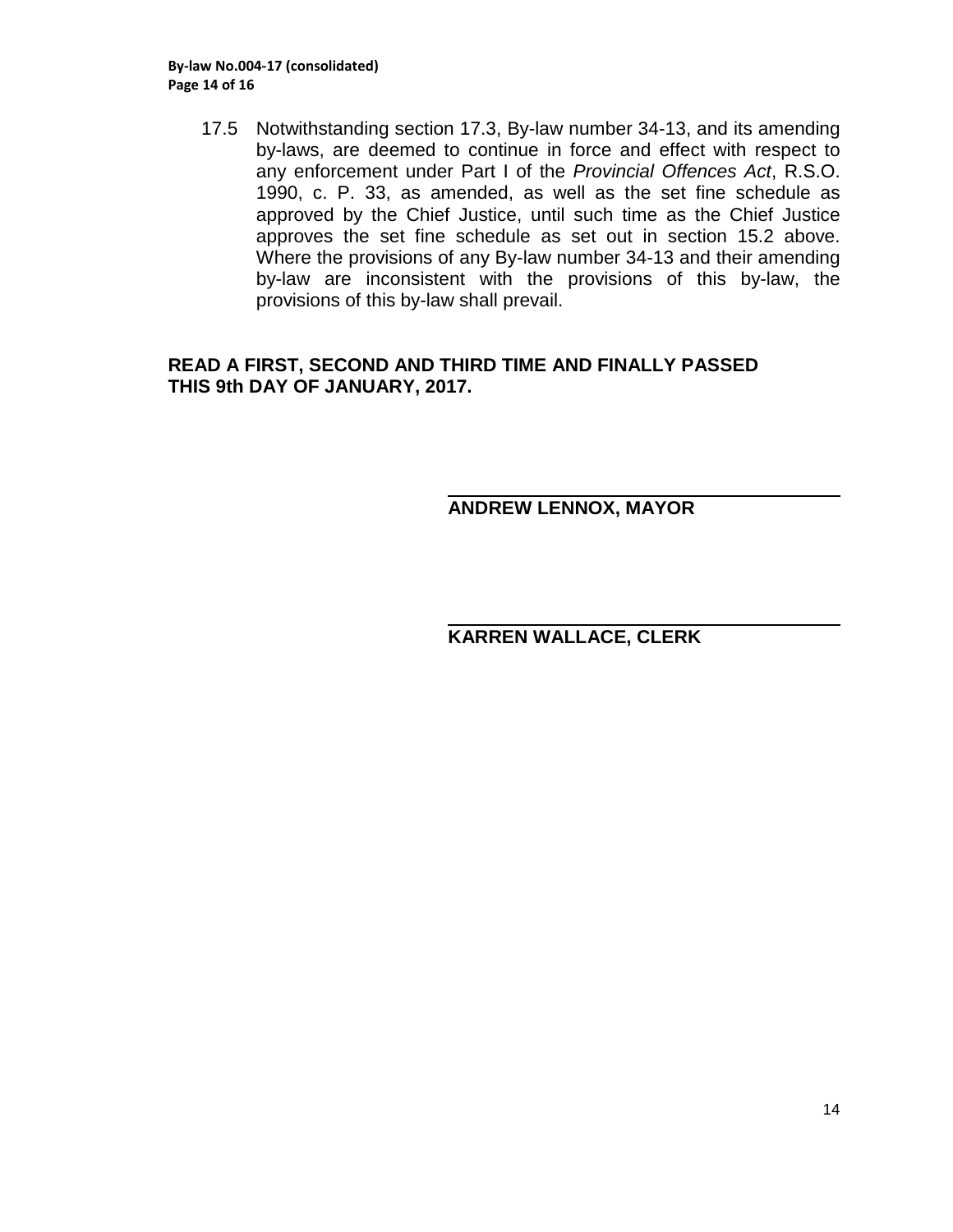17.5 Notwithstanding section 17.3, By-law number 34-13, and its amending by-laws, are deemed to continue in force and effect with respect to any enforcement under Part I of the *Provincial Offences Act*, R.S.O. 1990, c. P. 33, as amended, as well as the set fine schedule as approved by the Chief Justice, until such time as the Chief Justice approves the set fine schedule as set out in section 15.2 above. Where the provisions of any By-law number 34-13 and their amending by-law are inconsistent with the provisions of this by-law, the provisions of this by-law shall prevail.

#### **READ A FIRST, SECOND AND THIRD TIME AND FINALLY PASSED THIS 9th DAY OF JANUARY, 2017.**

### **ANDREW LENNOX, MAYOR**

### **KARREN WALLACE, CLERK**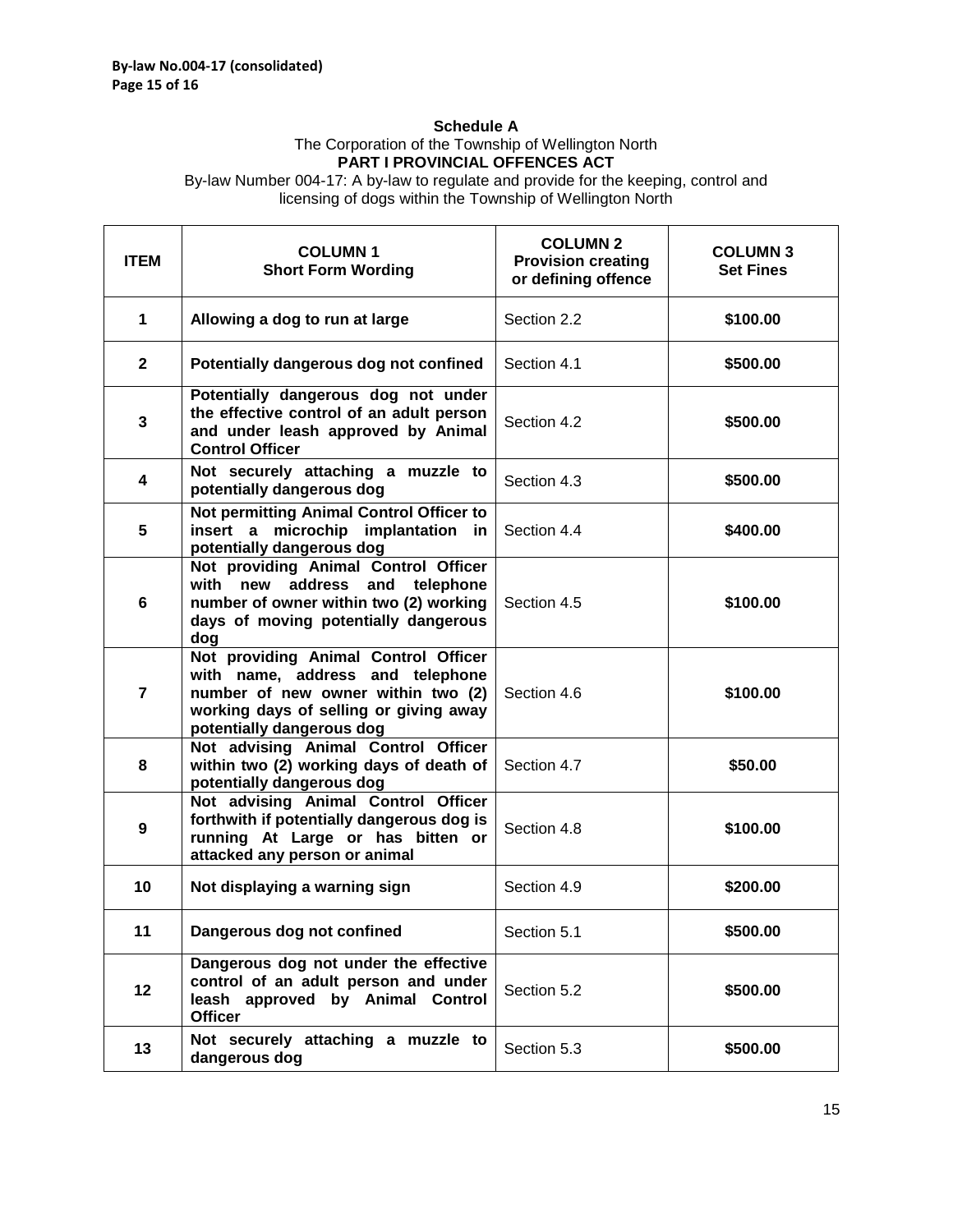#### **Schedule A**

#### The Corporation of the Township of Wellington North **PART I PROVINCIAL OFFENCES ACT**

By-law Number 004-17: A by-law to regulate and provide for the keeping, control and licensing of dogs within the Township of Wellington North

| <b>ITEM</b>  | <b>COLUMN1</b><br><b>Short Form Wording</b>                                                                                                                                           | <b>COLUMN 2</b><br><b>Provision creating</b><br>or defining offence | <b>COLUMN 3</b><br><b>Set Fines</b> |
|--------------|---------------------------------------------------------------------------------------------------------------------------------------------------------------------------------------|---------------------------------------------------------------------|-------------------------------------|
| 1            | Allowing a dog to run at large                                                                                                                                                        | Section 2.2                                                         | \$100.00                            |
| $\mathbf{2}$ | Potentially dangerous dog not confined                                                                                                                                                | Section 4.1                                                         | \$500.00                            |
| 3            | Potentially dangerous dog not under<br>the effective control of an adult person<br>and under leash approved by Animal<br><b>Control Officer</b>                                       | Section 4.2                                                         | \$500.00                            |
| 4            | Not securely attaching a muzzle to<br>potentially dangerous dog                                                                                                                       | Section 4.3                                                         | \$500.00                            |
| 5            | Not permitting Animal Control Officer to<br>insert a microchip implantation in<br>potentially dangerous dog                                                                           | Section 4.4                                                         | \$400.00                            |
| 6            | Not providing Animal Control Officer<br>with new address and telephone<br>number of owner within two (2) working<br>days of moving potentially dangerous<br>dog                       | Section 4.5                                                         | \$100.00                            |
| 7            | Not providing Animal Control Officer<br>with name, address and telephone<br>number of new owner within two (2)<br>working days of selling or giving away<br>potentially dangerous dog | Section 4.6                                                         | \$100.00                            |
| 8            | Not advising Animal Control Officer<br>within two (2) working days of death of<br>potentially dangerous dog                                                                           | Section 4.7                                                         | \$50.00                             |
| 9            | Not advising Animal Control Officer<br>forthwith if potentially dangerous dog is<br>running At Large or has bitten or<br>attacked any person or animal                                | Section 4.8                                                         | \$100.00                            |
| 10           | Not displaying a warning sign                                                                                                                                                         | Section 4.9                                                         | \$200.00                            |
| 11           | Dangerous dog not confined                                                                                                                                                            | Section 5.1                                                         | \$500.00                            |
| 12           | Dangerous dog not under the effective<br>control of an adult person and under<br>leash approved by Animal Control<br><b>Officer</b>                                                   | Section 5.2                                                         | \$500.00                            |
| 13           | Not securely attaching a muzzle to<br>dangerous dog                                                                                                                                   | Section 5.3                                                         | \$500.00                            |